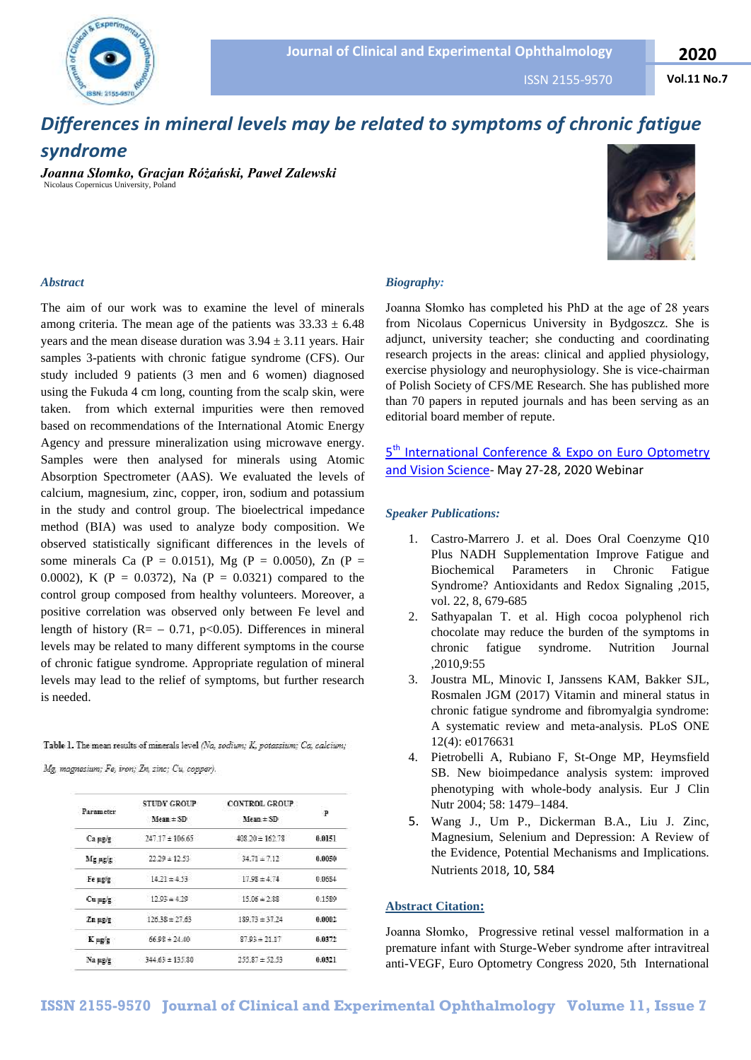

ISSN 2155-9570

**Vol.11 No.7**



# *Differences in mineral levels may be related to symptoms of chronic fatigue*

## *syndrome*

*Joanna Słomko, Gracjan Różański, Paweł Zalewski* Nicolaus Copernicus University, Poland



#### *Abstract*

The aim of our work was to examine the level of minerals among criteria. The mean age of the patients was  $33.33 \pm 6.48$ years and the mean disease duration was  $3.94 \pm 3.11$  years. Hair samples 3-patients with chronic fatigue syndrome (CFS). Our study included 9 patients (3 men and 6 women) diagnosed using the Fukuda 4 cm long, counting from the scalp skin, were taken. from which external impurities were then removed based on recommendations of the International Atomic Energy Agency and pressure mineralization using microwave energy. Samples were then analysed for minerals using Atomic Absorption Spectrometer (AAS). We evaluated the levels of calcium, magnesium, zinc, copper, iron, sodium and potassium in the study and control group. The bioelectrical impedance method (BIA) was used to analyze body composition. We observed statistically significant differences in the levels of some minerals Ca (P = 0.0151), Mg (P = 0.0050), Zn (P = 0.0002), K (P = 0.0372), Na (P = 0.0321) compared to the control group composed from healthy volunteers. Moreover, a positive correlation was observed only between Fe level and length of history ( $R = -0.71$ , p<0.05). Differences in mineral levels may be related to many different symptoms in the course of chronic fatigue syndrome. Appropriate regulation of mineral levels may lead to the relief of symptoms, but further research is needed.

Table 1. The mean results of minerals level (Na, zodium; K, potassium; Ca, calcium;

Mg, magnesium; Fe, iron; Zn, zinc; Cu, copper).

| Parameter      | <b>STUDY GROUP</b><br>$Mean \pm SD$ | <b>CONTROL GROUP</b><br>$Mean \pm SD$ | P      |
|----------------|-------------------------------------|---------------------------------------|--------|
| Ca ug/g        | $247.17 \pm 106.65$                 | $408.20 \pm 162.78$                   | 0.0151 |
| Mgug'g         | $72.29 \pm 12.53$                   | $34.71 \pm 7.12$                      | 0.0050 |
| Fe ug/g        | $14.21 \pm 4.93$                    | $17.98 \pm 4.74$                      | 0.0684 |
| $Cu$ $\mu$ g/g | $12.93 \pm 4.29$                    | 15.06±2.88                            | 0.1589 |
| Zn ug/g        | $12638 + 2763$                      | $189.73 \pm 37.24$                    | 0.0002 |
| K ug/g         | $66.98 \pm 24.40$                   | $87.93 \pm 21.17$                     | 0.0372 |
| Na ag/g        | $344.63 \pm 135.30$                 | $255.87 \pm 52.53$                    | 0.0321 |

#### *Biography:*

Joanna Słomko has completed his PhD at the age of 28 years from Nicolaus Copernicus University in Bydgoszcz. She is adjunct, university teacher; she conducting and coordinating research projects in the areas: clinical and applied physiology, exercise physiology and neurophysiology. She is vice-chairman of Polish Society of CFS/ME Research. She has published more than 70 papers in reputed journals and has been serving as an editorial board member of repute.

### 5<sup>th</sup> International Conference & Expo on Euro Optometry [and Vision Science-](https://eurooptometry.ophthalmologyconferences.com/) May 27-28, 2020 Webinar

#### *Speaker Publications:*

- 1. Castro-Marrero J. et al. Does Oral Coenzyme Q10 Plus NADH Supplementation Improve Fatigue and Biochemical Parameters in Chronic Fatigue Syndrome? Antioxidants and Redox Signaling ,2015, vol. 22, 8, 679-685
- 2. Sathyapalan T. et al. High cocoa polyphenol rich chocolate may reduce the burden of the symptoms in chronic fatigue syndrome. Nutrition Journal ,2010,9:55
- 3. Joustra ML, Minovic I, Janssens KAM, Bakker SJL, Rosmalen JGM (2017) Vitamin and mineral status in chronic fatigue syndrome and fibromyalgia syndrome: A systematic review and meta-analysis. PLoS ONE 12(4): e0176631
- 4. Pietrobelli A, Rubiano F, St-Onge MP, Heymsfield SB. New bioimpedance analysis system: improved phenotyping with whole-body analysis. Eur J Clin Nutr 2004; 58: 1479–1484.
- 5. Wang J., Um P., Dickerman B.A., Liu J. Zinc, Magnesium, Selenium and Depression: A Review of the Evidence, Potential Mechanisms and Implications. Nutrients 2018, 10, 584

#### **Abstract Citation:**

Joanna Słomko, Progressive retinal vessel malformation in a premature infant with Sturge-Weber syndrome after intravitreal anti-VEGF, Euro Optometry Congress 2020, 5th International